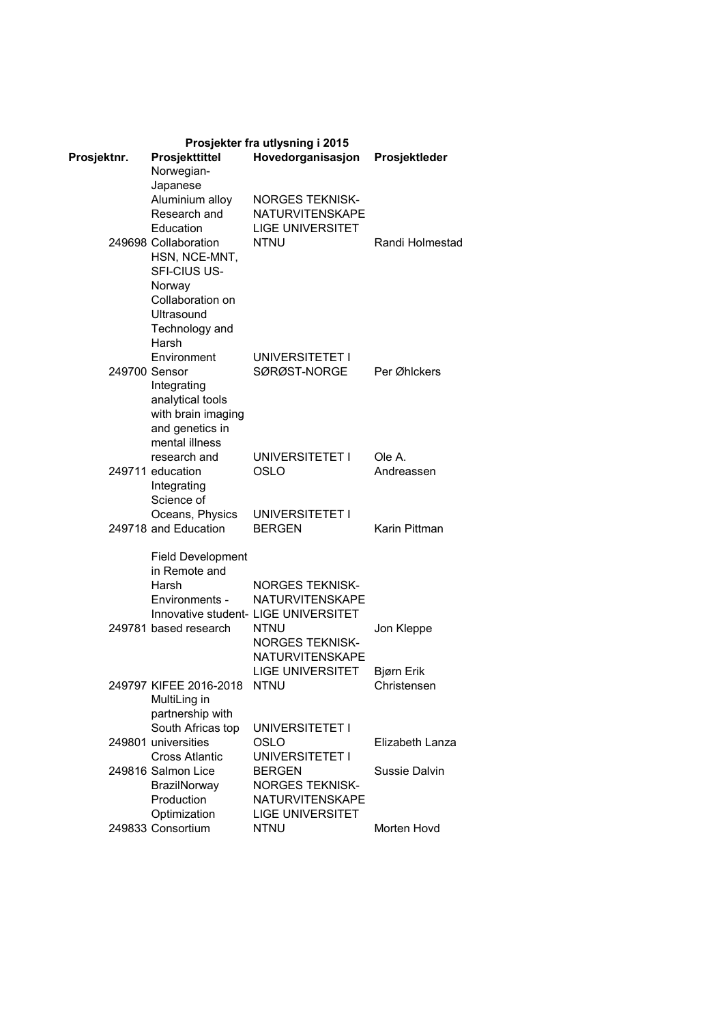| Prosjekter fra utlysning i 2015 |                                  |                                                  |                      |  |
|---------------------------------|----------------------------------|--------------------------------------------------|----------------------|--|
| Prosjektnr.                     | Prosjekttittel                   | Hovedorganisasjon                                | Prosjektleder        |  |
|                                 | Norwegian-                       |                                                  |                      |  |
|                                 | Japanese                         |                                                  |                      |  |
|                                 | Aluminium alloy                  | <b>NORGES TEKNISK-</b>                           |                      |  |
|                                 | Research and                     | <b>NATURVITENSKAPE</b>                           |                      |  |
|                                 | Education                        | <b>LIGE UNIVERSITET</b>                          |                      |  |
|                                 | 249698 Collaboration             | <b>NTNU</b>                                      | Randi Holmestad      |  |
|                                 | HSN, NCE-MNT,<br>SFI-CIUS US-    |                                                  |                      |  |
|                                 |                                  |                                                  |                      |  |
|                                 | Norway<br>Collaboration on       |                                                  |                      |  |
|                                 | Ultrasound                       |                                                  |                      |  |
|                                 | Technology and                   |                                                  |                      |  |
|                                 | Harsh                            |                                                  |                      |  |
|                                 | Environment                      | UNIVERSITETET I                                  |                      |  |
| 249700 Sensor                   |                                  | SØRØST-NORGE                                     | Per Øhlckers         |  |
|                                 | Integrating                      |                                                  |                      |  |
|                                 | analytical tools                 |                                                  |                      |  |
|                                 | with brain imaging               |                                                  |                      |  |
|                                 | and genetics in                  |                                                  |                      |  |
|                                 | mental illness                   |                                                  |                      |  |
|                                 | research and<br>249711 education | UNIVERSITETET I<br>OSLO                          | Ole A.<br>Andreassen |  |
|                                 | Integrating                      |                                                  |                      |  |
|                                 | Science of                       |                                                  |                      |  |
|                                 | Oceans, Physics                  | UNIVERSITETET I                                  |                      |  |
|                                 | 249718 and Education             | <b>BERGEN</b>                                    | Karin Pittman        |  |
|                                 |                                  |                                                  |                      |  |
|                                 | <b>Field Development</b>         |                                                  |                      |  |
|                                 | in Remote and                    |                                                  |                      |  |
|                                 | Harsh                            | <b>NORGES TEKNISK-</b>                           |                      |  |
|                                 | Environments -                   | <b>NATURVITENSKAPE</b>                           |                      |  |
|                                 | 249781 based research            | Innovative student- LIGE UNIVERSITET<br>NTNU     | Jon Kleppe           |  |
|                                 |                                  | NORGES TEKNISK-                                  |                      |  |
|                                 |                                  | <b>NATURVITENSKAPE</b>                           |                      |  |
|                                 |                                  | <b>LIGE UNIVERSITET</b>                          | Bjørn Erik           |  |
|                                 | 249797 KIFEE 2016-2018           | NTNU                                             | Christensen          |  |
|                                 | MultiLing in                     |                                                  |                      |  |
|                                 | partnership with                 |                                                  |                      |  |
|                                 | South Africas top                | UNIVERSITETET I                                  |                      |  |
|                                 | 249801 universities              | OSLO                                             | Elizabeth Lanza      |  |
|                                 | <b>Cross Atlantic</b>            | UNIVERSITETET I                                  |                      |  |
|                                 | 249816 Salmon Lice               | <b>BERGEN</b>                                    | Sussie Dalvin        |  |
|                                 | BrazilNorway<br>Production       | <b>NORGES TEKNISK-</b><br><b>NATURVITENSKAPE</b> |                      |  |
|                                 | Optimization                     | <b>LIGE UNIVERSITET</b>                          |                      |  |
|                                 | 249833 Consortium                | <b>NTNU</b>                                      | Morten Hovd          |  |
|                                 |                                  |                                                  |                      |  |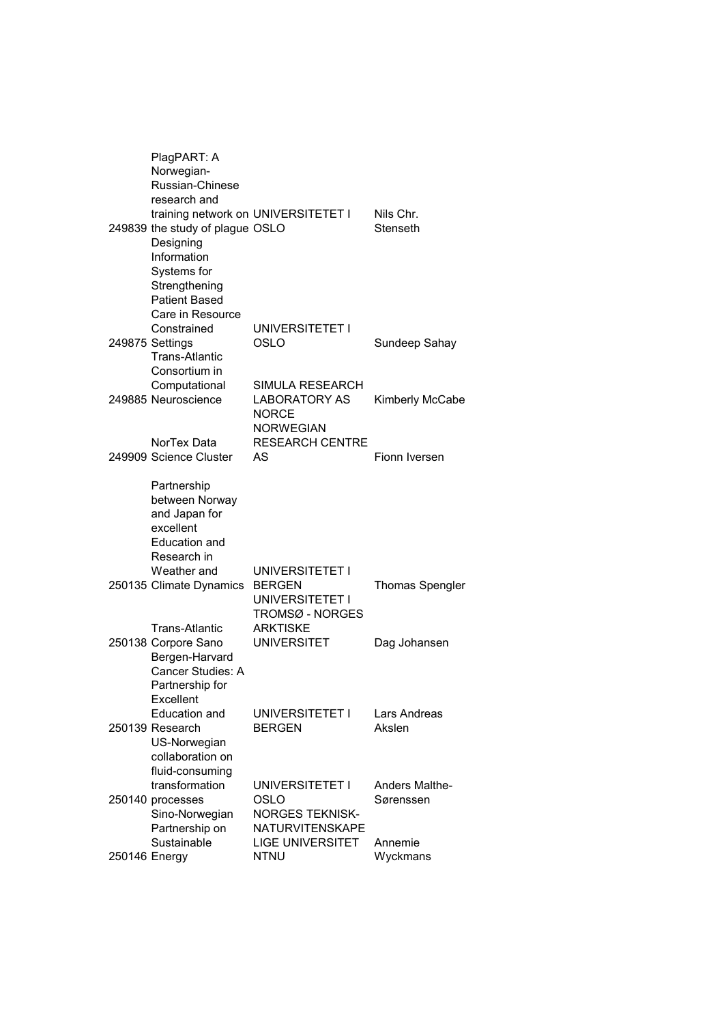|               | PlagPART: A<br>Norwegian-<br>Russian-Chinese<br>research and                                                                                 |                                                                             |                                    |
|---------------|----------------------------------------------------------------------------------------------------------------------------------------------|-----------------------------------------------------------------------------|------------------------------------|
|               | 249839 the study of plague OSLO<br>Designing<br>Information<br>Systems for<br>Strengthening<br><b>Patient Based</b><br>Care in Resource      | training network on UNIVERSITETET I                                         | Nils Chr.<br>Stenseth              |
|               | Constrained<br>249875 Settings<br><b>Trans-Atlantic</b><br>Consortium in                                                                     | UNIVERSITETET I<br>OSLO                                                     | Sundeep Sahay                      |
|               | Computational<br>249885 Neuroscience                                                                                                         | SIMULA RESEARCH<br><b>LABORATORY AS</b><br><b>NORCE</b><br><b>NORWEGIAN</b> | Kimberly McCabe                    |
|               | NorTex Data<br>249909 Science Cluster                                                                                                        | <b>RESEARCH CENTRE</b><br>AS                                                | Fionn Iversen                      |
|               | Partnership<br>between Norway<br>and Japan for<br>excellent<br><b>Education and</b><br>Research in<br>Weather and<br>250135 Climate Dynamics | UNIVERSITETET I<br><b>BERGEN</b>                                            | <b>Thomas Spengler</b>             |
|               | Trans-Atlantic                                                                                                                               | UNIVERSITETET I<br>TROMSØ - NORGES<br><b>ARKTISKE</b>                       |                                    |
|               | 250138 Corpore Sano<br>Bergen-Harvard<br>Cancer Studies: A<br>Partnership for<br>Excellent                                                   | <b>UNIVERSITET</b>                                                          | Dag Johansen                       |
|               | <b>Education and</b><br>250139 Research<br>US-Norwegian<br>collaboration on<br>fluid-consuming                                               | UNIVERSITETET I<br><b>BERGEN</b>                                            | Lars Andreas<br>Akslen             |
|               | transformation<br>250140 processes<br>Sino-Norwegian<br>Partnership on                                                                       | UNIVERSITETET I<br>OSLO<br><b>NORGES TEKNISK-</b><br>NATURVITENSKAPE        | <b>Anders Malthe-</b><br>Sørenssen |
| 250146 Energy | Sustainable                                                                                                                                  | <b>LIGE UNIVERSITET</b><br><b>NTNU</b>                                      | Annemie<br>Wyckmans                |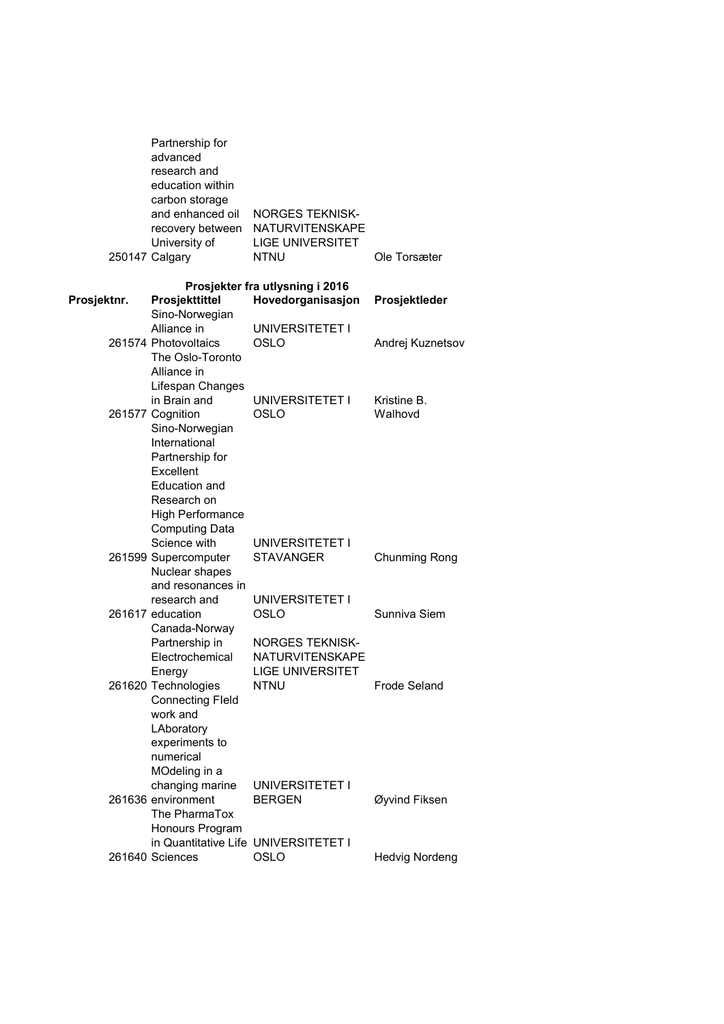|             | Partnership for<br>advanced<br>research and<br>education within<br>carbon storage<br>and enhanced oil<br>recovery between<br>University of<br>250147 Calgary                            | <b>NORGES TEKNISK-</b><br><b>NATURVITENSKAPE</b><br><b>LIGE UNIVERSITET</b><br><b>NTNU</b> | Ole Torsæter           |
|-------------|-----------------------------------------------------------------------------------------------------------------------------------------------------------------------------------------|--------------------------------------------------------------------------------------------|------------------------|
| Prosjektnr. | Prosjekttittel                                                                                                                                                                          | Prosjekter fra utlysning i 2016<br>Hovedorganisasjon                                       | Prosjektleder          |
|             | Sino-Norwegian<br>Alliance in<br>261574 Photovoltaics                                                                                                                                   | UNIVERSITETET I<br>OSLO                                                                    | Andrej Kuznetsov       |
|             | The Oslo-Toronto<br>Alliance in<br>Lifespan Changes                                                                                                                                     |                                                                                            |                        |
|             | in Brain and<br>261577 Cognition<br>Sino-Norwegian<br>International<br>Partnership for<br>Excellent<br>Education and<br>Research on<br><b>High Performance</b><br><b>Computing Data</b> | UNIVERSITETET I<br>OSLO                                                                    | Kristine B.<br>Walhovd |
|             | Science with<br>261599 Supercomputer<br>Nuclear shapes<br>and resonances in                                                                                                             | UNIVERSITETET I<br><b>STAVANGER</b>                                                        | Chunming Rong          |
|             | research and<br>261617 education<br>Canada-Norway                                                                                                                                       | UNIVERSITETET I<br>OSLO                                                                    | Sunniva Siem           |
|             | Partnership in<br>Electrochemical<br>Energy<br>261620 Technologies<br><b>Connecting Fleld</b><br>work and<br>LAboratory<br>experiments to                                               | <b>NORGES TEKNISK-</b><br><b>NATURVITENSKAPE</b><br><b>LIGE UNIVERSITET</b><br><b>NTNU</b> | <b>Frode Seland</b>    |
|             | numerical<br>MOdeling in a<br>changing marine<br>261636 environment<br>The PharmaTox<br>Honours Program                                                                                 | UNIVERSITETET I<br><b>BERGEN</b>                                                           | Øyvind Fiksen          |
|             | in Quantitative Life UNIVERSITETET I<br>261640 Sciences                                                                                                                                 | OSLO                                                                                       | <b>Hedvig Nordeng</b>  |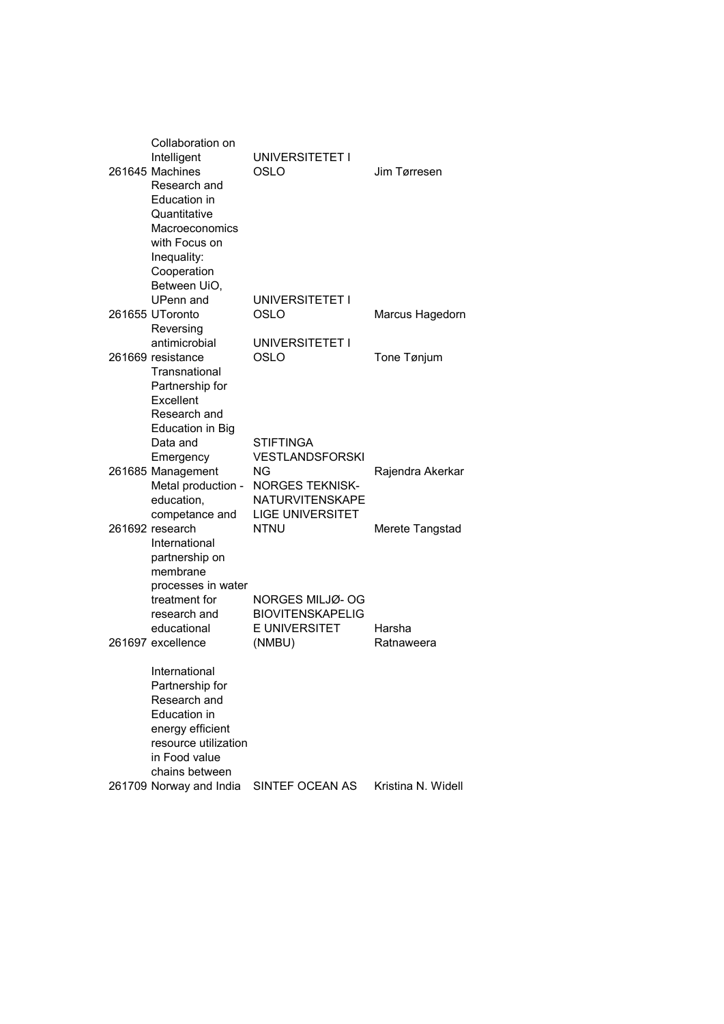| Collaboration on        |                         |                    |
|-------------------------|-------------------------|--------------------|
| Intelligent             | UNIVERSITETET I         |                    |
| 261645 Machines         | OSLO                    | Jim Tørresen       |
| Research and            |                         |                    |
| Education in            |                         |                    |
| Quantitative            |                         |                    |
| Macroeconomics          |                         |                    |
|                         |                         |                    |
| with Focus on           |                         |                    |
| Inequality:             |                         |                    |
| Cooperation             |                         |                    |
| Between UiO,            |                         |                    |
| <b>UPenn</b> and        | UNIVERSITETET I         |                    |
| 261655 UToronto         | OSLO                    | Marcus Hagedorn    |
| Reversing               |                         |                    |
| antimicrobial           | UNIVERSITETET I         |                    |
| 261669 resistance       | OSLO                    | Tone Tønjum        |
| Transnational           |                         |                    |
| Partnership for         |                         |                    |
| Excellent               |                         |                    |
| Research and            |                         |                    |
| <b>Education in Big</b> |                         |                    |
| Data and                | <b>STIFTINGA</b>        |                    |
| Emergency               | <b>VESTLANDSFORSKI</b>  |                    |
| 261685 Management       | NG                      | Rajendra Akerkar   |
| Metal production -      | <b>NORGES TEKNISK-</b>  |                    |
| education,              | <b>NATURVITENSKAPE</b>  |                    |
| competance and          | <b>LIGE UNIVERSITET</b> |                    |
| 261692 research         | <b>NTNU</b>             | Merete Tangstad    |
| International           |                         |                    |
| partnership on          |                         |                    |
| membrane                |                         |                    |
|                         |                         |                    |
| processes in water      |                         |                    |
| treatment for           | NORGES MILJØ- OG        |                    |
| research and            | <b>BIOVITENSKAPELIG</b> |                    |
| educational             | E UNIVERSITET           | Harsha             |
| 261697 excellence       | (NMBU)                  | Ratnaweera         |
|                         |                         |                    |
| International           |                         |                    |
| Partnership for         |                         |                    |
| Research and            |                         |                    |
| <b>Education</b> in     |                         |                    |
| energy efficient        |                         |                    |
| resource utilization    |                         |                    |
| in Food value           |                         |                    |
| chains between          |                         |                    |
| 261709 Norway and India | SINTEF OCEAN AS         | Kristina N. Widell |
|                         |                         |                    |